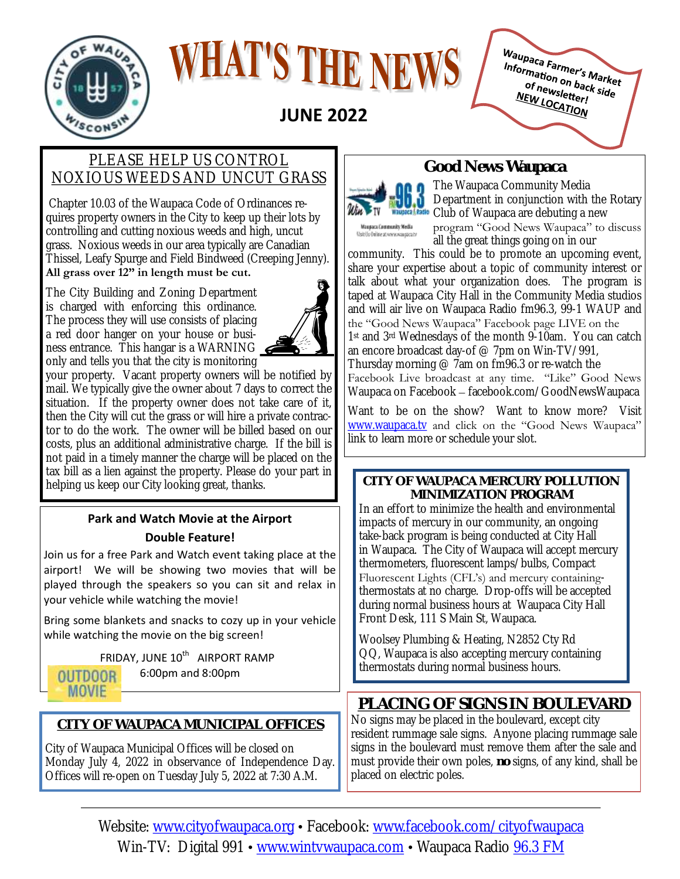

# WHAT'S THE NEW

**JUNE 2022**

Waupaca Farmer's Market *Information on back side*<br>
of newsletter!<br>
NEW Losletter! יי<del>ימ</del>וסף on back<br>of newsletter!<br>EW LOCA NEW LOCATION

# PLEASE HELP US CONTROL NOXIOUS WEEDS AND UNCUT GRASS

Chapter 10.03 of the Waupaca Code of Ordinances requires property owners in the City to keep up their lots by controlling and cutting noxious weeds and high, uncut grass. Noxious weeds in our area typically are Canadian Thissel, Leafy Spurge and Field Bindweed (Creeping Jenny).

## **All grass over 12" in length must be cut.**

The City Building and Zoning Department is charged with enforcing this ordinance. The process they will use consists of placing a red door hanger on your house or business entrance. This hangar is a WARNING only and tells you that the city is monitoring



your property. Vacant property owners will be notified by mail. We typically give the owner about 7 days to correct the situation. If the property owner does not take care of it, then the City will cut the grass or will hire a private contractor to do the work. The owner will be billed based on our costs, plus an additional administrative charge. If the bill is not paid in a timely manner the charge will be placed on the tax bill as a lien against the property. Please do your part in helping us keep our City looking great, thanks.

## **Park and Watch Movie at the Airport Double Feature!**

Join us for a free Park and Watch event taking place at the airport! We will be showing two movies that will be played through the speakers so you can sit and relax in your vehicle while watching the movie!

Bring some blankets and snacks to cozy up in your vehicle while watching the movie on the big screen!

FRIDAY, JUNE  $10^{th}$  AIRPORT RAMP 6:00pm and 8:00pm**OUTDOOR** 

# **CITY OF WAUPACA MUNICIPAL OFFICES**

**MOVIE** 

City of Waupaca Municipal Offices will be closed on Monday July 4, 2022 in observance of Independence Day. Offices will re-open on Tuesday July 5, 2022 at 7:30 A.M.

# **Good News Waupaca**



The Waupaca Community Media Department in conjunction with the Rotary

**Waupaca Community Media** Visit Us Online at www.waupaca.tv Club of Waupaca are debuting a new program "Good News Waupaca" to discuss all the great things going on in our

community. This could be to promote an upcoming event, share your expertise about a topic of community interest or talk about what your organization does. The program is taped at Waupaca City Hall in the Community Media studios and will air live on Waupaca Radio fm96.3, 99-1 WAUP and the "Good News Waupaca" Facebook page LIVE on the 1st and 3rd Wednesdays of the month 9-10am. You can catch an encore broadcast day-of @ 7pm on Win-TV/991, Thursday morning  $\oslash$  7am on fm96.3 or re-watch the

Facebook Live broadcast at any time. "Like" Good News Waupaca on Facebook – facebook.com/GoodNewsWaupaca

Want to be on the show? Want to know more? Visit [www.waupaca.tv](http://www.waupaca.tv) and click on the "Good News Waupaca" link to learn more or schedule your slot.

#### **CITY OF WAUPACA MERCURY POLLUTION MINIMIZATION PROGRAM** In an effort to minimize the health and environmental impacts of mercury in our community, an ongoing take-back program is being conducted at City Hall in Waupaca. The City of Waupaca will accept mercury

thermometers, fluorescent lamps/bulbs, Compact Fluorescent Lights (CFL's) and mercury containingthermostats at no charge. Drop-offs will be accepted during normal business hours at Waupaca City Hall Front Desk, 111 S Main St, Waupaca.

Woolsey Plumbing & Heating, N2852 Cty Rd QQ, Waupaca is also accepting mercury containing thermostats during normal business hours.

# **PLACING OF SIGNS IN BOULEVARD**

No signs may be placed in the boulevard, except city resident rummage sale signs. Anyone placing rummage sale signs in the boulevard must remove them after the sale and must provide their own poles, **no** signs, of any kind, shall be placed on electric poles.

Website: [www.cityofwaupaca.org](http://www.cityofwaupaca.org) • Facebook: [www.facebook.com/cityofwaupaca](http://www.facebook.com/cityofwaupaca) Win-TV: Digital 991 • [www.wintvwaupaca.com](http://www.wintvwaupaca.com) • Waupaca Radio [96.3 FM](http://www.facebook.com/cityofwaupaca)